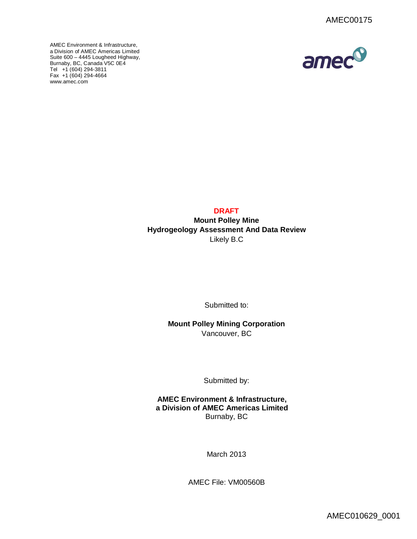AMEC Environment & Infrastructure, a Division of AMEC Americas Limited Suite 600 – 4445 Lougheed Highway, [Burnaby, BC, C](http://www.amec.com)anada V5C 0E4 Tel +1 (604) 294-3811 Fax +1 (604) 294-4664 www.amec.com



# **DRAFT**

**Mount Polley Mine Hydrogeology Assessment And Data Review** Likely B.C

Submitted to:

**Mount Polley Mining Corporation** Vancouver, BC

Submitted by:

**AMEC Environment & Infrastructure, a Division of AMEC Americas Limited** Burnaby, BC

March 2013

AMEC File: VM00560B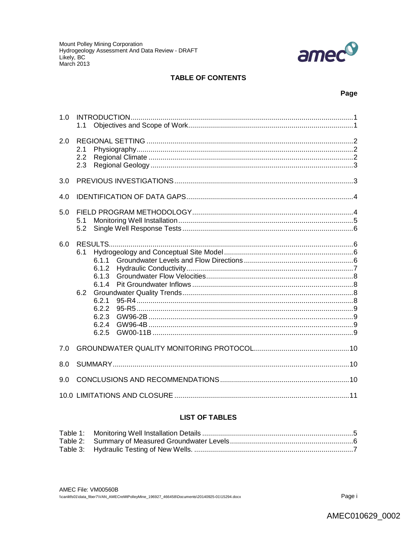

# **TABLE OF CONTENTS**

# Page

| 1.0 | 1.1                                                                                       |  |
|-----|-------------------------------------------------------------------------------------------|--|
| 2.0 | 2.1<br>2.2<br>2.3                                                                         |  |
| 3.0 |                                                                                           |  |
| 4.0 |                                                                                           |  |
| 5.0 | 5.1<br>5.2                                                                                |  |
| 6.0 | 6.1<br>611<br>6.1.2<br>6.1.3<br>6.1.4<br>6.2<br>6.2.1<br>6.2.2<br>6.2.3<br>6.2.4<br>6.2.5 |  |
| 7.0 |                                                                                           |  |
| 8.0 |                                                                                           |  |
| 9.0 |                                                                                           |  |
|     |                                                                                           |  |

# **LIST OF TABLES**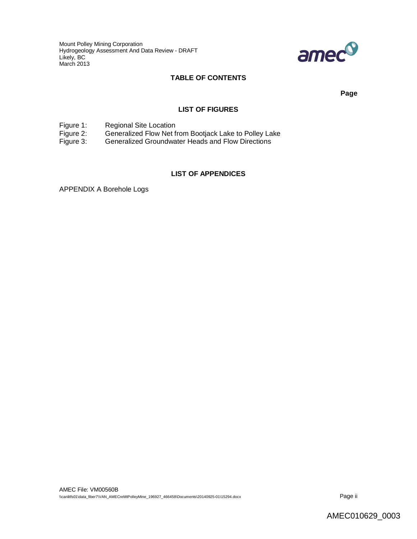Mount Polley Mining Corporation Hydrogeology Assessment And Data Review - DRAFT Likely, BC March 2013



# **TABLE OF CONTENTS**

**Page**

#### **LIST OF FIGURES**

Figure 1: Regional Site Location<br>Figure 2: Generalized Flow Net f Figure 2: Generalized Flow Net from Bootjack Lake to Polley Lake<br>Figure 3: Generalized Groundwater Heads and Flow Directions

Generalized Groundwater Heads and Flow Directions

# **LIST OF APPENDICES**

APPENDIX A Borehole Logs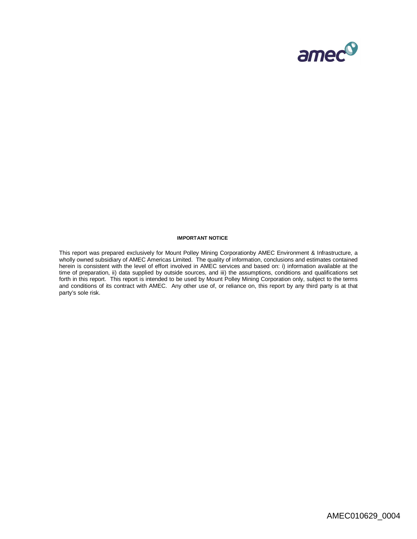

#### **IMPORTANT NOTICE**

This report was prepared exclusively for Mount Polley Mining Corporationby AMEC Environment & Infrastructure, a wholly owned subsidiary of AMEC Americas Limited. The quality of information, conclusions and estimates contained herein is consistent with the level of effort involved in AMEC services and based on: i) information available at the time of preparation, ii) data supplied by outside sources, and iii) the assumptions, conditions and qualifications set forth in this report. This report is intended to be used by Mount Polley Mining Corporation only, subject to the terms and conditions of its contract with AMEC. Any other use of, or reliance on, this report by any third party is at that party's sole risk.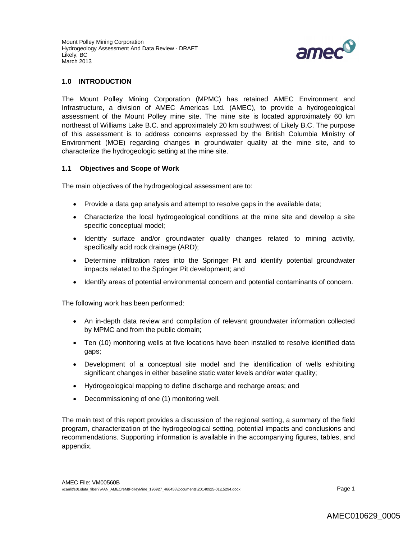

### **1.0 INTRODUCTION**

The Mount Polley Mining Corporation (MPMC) has retained AMEC Environment and Infrastructure, a division of AMEC Americas Ltd. (AMEC), to provide a hydrogeological assessment of the Mount Polley mine site. The mine site is located approximately 60 km northeast of Williams Lake B.C. and approximately 20 km southwest of Likely B.C. The purpose of this assessment is to address concerns expressed by the British Columbia Ministry of Environment (MOE) regarding changes in groundwater quality at the mine site, and to characterize the hydrogeologic setting at the mine site.

#### **1.1 Objectives and Scope of Work**

The main objectives of the hydrogeological assessment are to:

- Provide a data gap analysis and attempt to resolve gaps in the available data;
- Characterize the local hydrogeological conditions at the mine site and develop a site specific conceptual model;
- Identify surface and/or groundwater quality changes related to mining activity, specifically acid rock drainage (ARD);
- Determine infiltration rates into the Springer Pit and identify potential groundwater impacts related to the Springer Pit development; and
- Identify areas of potential environmental concern and potential contaminants of concern.

The following work has been performed:

- An in-depth data review and compilation of relevant groundwater information collected by MPMC and from the public domain;
- Ten (10) monitoring wells at five locations have been installed to resolve identified data gaps;
- Development of a conceptual site model and the identification of wells exhibiting significant changes in either baseline static water levels and/or water quality;
- Hydrogeological mapping to define discharge and recharge areas; and
- Decommissioning of one (1) monitoring well.

The main text of this report provides a discussion of the regional setting, a summary of the field program, characterization of the hydrogeological setting, potential impacts and conclusions and recommendations. Supporting information is available in the accompanying figures, tables, and appendix.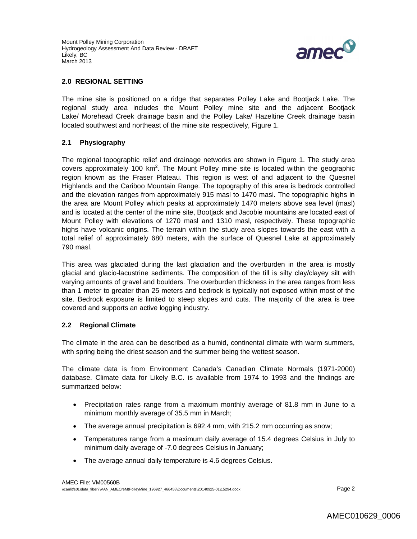

#### **2.0 REGIONAL SETTING**

The mine site is positioned on a ridge that separates Polley Lake and Bootjack Lake. The regional study area includes the Mount Polley mine site and the adjacent Bootjack Lake/ Morehead Creek drainage basin and the Polley Lake/ Hazeltine Creek drainage basin located southwest and northeast of the mine site respectively, Figure 1.

# **2.1 Physiography**

The regional topographic relief and drainage networks are shown in Figure 1. The study area covers approximately 100 km<sup>2</sup>. The Mount Polley mine site is located within the geographic region known as the Fraser Plateau. This region is west of and adjacent to the Quesnel Highlands and the Cariboo Mountain Range. The topography of this area is bedrock controlled and the elevation ranges from approximately 915 masl to 1470 masl. The topographic highs in the area are Mount Polley which peaks at approximately 1470 meters above sea level (masl) and is located at the center of the mine site, Bootjack and Jacobie mountains are located east of Mount Polley with elevations of 1270 masl and 1310 masl, respectively. These topographic highs have volcanic origins. The terrain within the study area slopes towards the east with a total relief of approximately 680 meters, with the surface of Quesnel Lake at approximately 790 masl.

This area was glaciated during the last glaciation and the overburden in the area is mostly glacial and glacio-lacustrine sediments. The composition of the till is silty clay/clayey silt with varying amounts of gravel and boulders. The overburden thickness in the area ranges from less than 1 meter to greater than 25 meters and bedrock is typically not exposed within most of the site. Bedrock exposure is limited to steep slopes and cuts. The majority of the area is tree covered and supports an active logging industry.

# **2.2 Regional Climate**

The climate in the area can be described as a humid, continental climate with warm summers, with spring being the driest season and the summer being the wettest season.

The climate data is from Environment Canada's Canadian Climate Normals (1971-2000) database. Climate data for Likely B.C. is available from 1974 to 1993 and the findings are summarized below:

- Precipitation rates range from a maximum monthly average of 81.8 mm in June to a minimum monthly average of 35.5 mm in March;
- The average annual precipitation is 692.4 mm, with 215.2 mm occurring as snow;
- Temperatures range from a maximum daily average of 15.4 degrees Celsius in July to minimum daily average of -7.0 degrees Celsius in January;
- The average annual daily temperature is 4.6 degrees Celsius.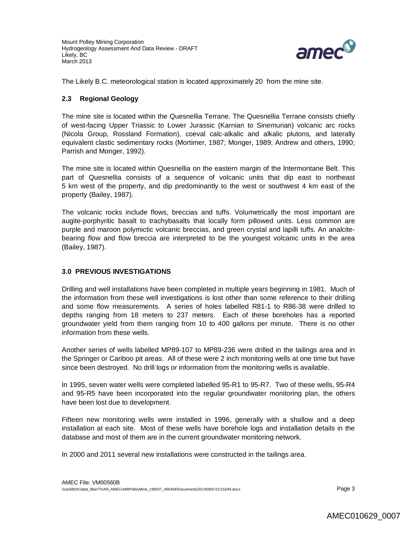

The Likely B.C. meteorological station is located approximately 20 from the mine site.

# **2.3 Regional Geology**

The mine site is located within the Quesnellia Terrane. The Quesnellia Terrane consists chiefly of west-facing Upper Triassic to Lower Jurassic (Karnian to Sinemurian) volcanic arc rocks (Nicola Group, Rossland Formation), coeval calc-alkalic and alkalic plutons, and laterally equivalent clastic sedimentary rocks (Mortimer, 1987; Monger, 1989; Andrew and others, 1990; Parrish and Monger, 1992).

The mine site is located within Quesnellia on the eastern margin of the lntermontane Belt. This part of Quesnellia consists of a sequence of volcanic units that dip east to northeast 5 km west of the property, and dip predominantly to the west or southwest 4 km east of the property (Bailey, 1987).

The volcanic rocks include flows, breccias and tuffs. Volumetrically the most important are augite-porphyritic basalt to trachybasalts that locally form pillowed units. Less common are purple and maroon polymictic volcanic breccias, and green crystal and lapilli tuffs. An analcitebearing flow and flow breccia are interpreted to be the youngest volcanic units in the area (Bailey, 1987).

# **3.0 PREVIOUS INVESTIGATIONS**

Drilling and well installations have been completed in multiple years beginning in 1981. Much of the information from these well investigations is lost other than some reference to their drilling and some flow measurements. A series of holes labelled R81-1 to R86-38 were drilled to depths ranging from 18 meters to 237 meters. Each of these boreholes has a reported groundwater yield from them ranging from 10 to 400 gallons per minute. There is no other information from these wells.

Another series of wells labelled MP89-107 to MP89-236 were drilled in the tailings area and in the Springer or Cariboo pit areas. All of these were 2 inch monitoring wells at one time but have since been destroyed. No drill logs or information from the monitoring wells is available.

In 1995, seven water wells were completed labelled 95-R1 to 95-R7. Two of these wells, 95-R4 and 95-R5 have been incorporated into the regular groundwater monitoring plan, the others have been lost due to development.

Fifteen new monitoring wells were installed in 1996, generally with a shallow and a deep installation at each site. Most of these wells have borehole logs and installation details in the database and most of them are in the current groundwater monitoring network.

In 2000 and 2011 several new installations were constructed in the tailings area.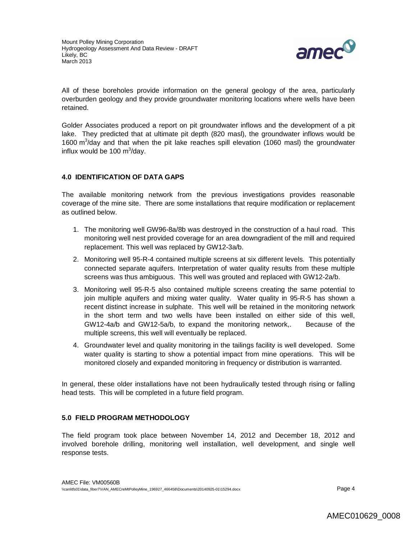

All of these boreholes provide information on the general geology of the area, particularly overburden geology and they provide groundwater monitoring locations where wells have been retained.

Golder Associates produced a report on pit groundwater inflows and the development of a pit lake. They predicted that at ultimate pit depth (820 masl), the groundwater inflows would be 1600 m<sup>3</sup>/day and that when the pit lake reaches spill elevation (1060 masl) the groundwater influx would be 100  $\text{m}^3$ /day.

# **4.0 IDENTIFICATION OF DATA GAPS**

The available monitoring network from the previous investigations provides reasonable coverage of the mine site. There are some installations that require modification or replacement as outlined below.

- 1. The monitoring well GW96-8a/8b was destroyed in the construction of a haul road. This monitoring well nest provided coverage for an area downgradient of the mill and required replacement. This well was replaced by GW12-3a/b.
- 2. Monitoring well 95-R-4 contained multiple screens at six different levels. This potentially connected separate aquifers. Interpretation of water quality results from these multiple screens was thus ambiguous. This well was grouted and replaced with GW12-2a/b.
- 3. Monitoring well 95-R-5 also contained multiple screens creating the same potential to join multiple aquifers and mixing water quality. Water quality in 95-R-5 has shown a recent distinct increase in sulphate. This well will be retained in the monitoring network in the short term and two wells have been installed on either side of this well, GW12-4a/b and GW12-5a/b, to expand the monitoring network,. Because of the multiple screens, this well will eventually be replaced.
- 4. Groundwater level and quality monitoring in the tailings facility is well developed. Some water quality is starting to show a potential impact from mine operations. This will be monitored closely and expanded monitoring in frequency or distribution is warranted.

In general, these older installations have not been hydraulically tested through rising or falling head tests. This will be completed in a future field program.

# **5.0 FIELD PROGRAM METHODOLOGY**

The field program took place between November 14, 2012 and December 18, 2012 and involved borehole drilling, monitoring well installation, well development, and single well response tests.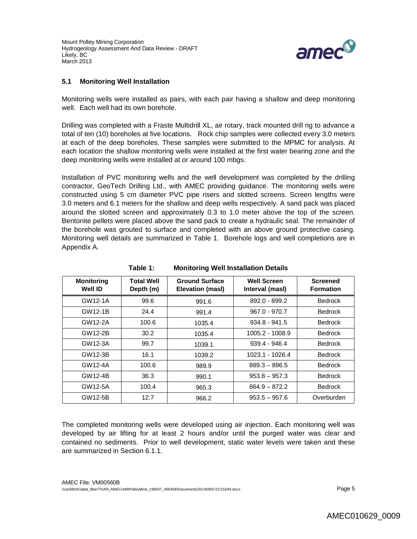

# **5.1 Monitoring Well Installation**

Monitoring wells were installed as pairs, with each pair having a shallow and deep monitoring well. Each well had its own borehole.

Drilling was completed with a Fraste Multidrill XL, air rotary, track mounted drill rig to advance a total of ten (10) boreholes at five locations. Rock chip samples were collected every 3.0 meters at each of the deep boreholes. These samples were submitted to the MPMC for analysis. At each location the shallow monitoring wells were installed at the first water bearing zone and the deep monitoring wells were installed at or around 100 mbgs.

Installation of PVC monitoring wells and the well development was completed by the drilling contractor, GeoTech Drilling Ltd., with AMEC providing guidance. The monitoring wells were constructed using 5 cm diameter PVC pipe risers and slotted screens. Screen lengths were 3.0 meters and 6.1 meters for the shallow and deep wells respectively. A sand pack was placed around the slotted screen and approximately 0.3 to 1.0 meter above the top of the screen. Bentonite pellets were placed above the sand pack to create a hydraulic seal. The remainder of the borehole was grouted to surface and completed with an above ground protective casing. Monitoring well details are summarized in Table 1. Borehole logs and well completions are in Appendix A.

| <b>Monitoring</b><br>Well ID | <b>Total Well</b><br>Depth (m) | <b>Ground Surface</b><br>Elevation (masl) | <b>Well Screen</b><br>Interval (masl) | <b>Screened</b><br><b>Formation</b> |
|------------------------------|--------------------------------|-------------------------------------------|---------------------------------------|-------------------------------------|
| GW12-1A                      | 99.6                           | 991.6                                     | 892.0 - 899.2                         | <b>Bedrock</b>                      |
| GW12-1B                      | 24.4                           | 991.4                                     | $967.0 - 970.7$                       | <b>Bedrock</b>                      |
| GW12-2A                      | 100.6                          | 1035.4                                    | $934.8 - 941.5$                       | <b>Bedrock</b>                      |
| GW12-2B                      | 30.2                           | 1035.4                                    | 1005.2 - 1008.9                       | <b>Bedrock</b>                      |
| GW12-3A                      | 99.7                           | 1039.1                                    | $939.4 - 946.4$                       | <b>Bedrock</b>                      |
| GW12-3B                      | 16.1                           | 1039.2                                    | 1023.1 - 1026.4                       | <b>Bedrock</b>                      |
| GW12-4A                      | 100.6                          | 989.9                                     | $889.3 - 896.5$                       | <b>Bedrock</b>                      |
| GW12-4B                      | 36.3                           | 990.1                                     | $953.8 - 957.3$                       | <b>Bedrock</b>                      |
| GW12-5A                      | 100.4                          | 965.3                                     | $864.9 - 872.2$                       | <b>Bedrock</b>                      |
| GW12-5B                      | 12.7                           | 966.2                                     | $953.5 - 957.6$                       | Overburden                          |

**Table 1: Monitoring Well Installation Details**

The completed monitoring wells were developed using air injection. Each monitoring well was developed by air lifting for at least 2 hours and/or until the purged water was clear and contained no sediments. Prior to well development, static water levels were taken and these are summarized in Section 6.1.1.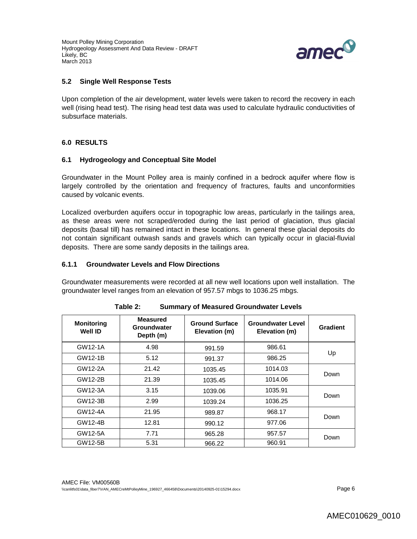Mount Polley Mining Corporation Hydrogeology Assessment And Data Review - DRAFT Likely, BC March 2013



#### **5.2 Single Well Response Tests**

Upon completion of the air development, water levels were taken to record the recovery in each well (rising head test). The rising head test data was used to calculate hydraulic conductivities of subsurface materials.

### **6.0 RESULTS**

#### **6.1 Hydrogeology and Conceptual Site Model**

Groundwater in the Mount Polley area is mainly confined in a bedrock aquifer where flow is largely controlled by the orientation and frequency of fractures, faults and unconformities caused by volcanic events.

Localized overburden aquifers occur in topographic low areas, particularly in the tailings area, as these areas were not scraped/eroded during the last period of glaciation, thus glacial deposits (basal till) has remained intact in these locations. In general these glacial deposits do not contain significant outwash sands and gravels which can typically occur in glacial-fluvial deposits. There are some sandy deposits in the tailings area.

#### **6.1.1 Groundwater Levels and Flow Directions**

Groundwater measurements were recorded at all new well locations upon well installation. The groundwater level ranges from an elevation of 957.57 mbgs to 1036.25 mbgs.

| <b>Monitoring</b><br>Well ID | <b>Measured</b><br>Groundwater<br>Depth (m) | <b>Ground Surface</b><br>Elevation (m) | <b>Groundwater Level</b><br>Elevation (m) | Gradient |
|------------------------------|---------------------------------------------|----------------------------------------|-------------------------------------------|----------|
| GW12-1A                      | 4.98                                        | 991.59                                 | 986.61                                    |          |
| GW12-1B                      | 5.12                                        | 991.37                                 | 986.25                                    | Up       |
| GW12-2A                      | 21.42                                       | 1035.45                                | 1014.03                                   | Down     |
| GW12-2B                      | 21.39                                       | 1035.45                                | 1014.06                                   |          |
| GW12-3A                      | 3.15                                        | 1039.06                                | 1035.91                                   | Down     |
| GW12-3B                      | 2.99                                        | 1039.24                                | 1036.25                                   |          |
| GW12-4A                      | 21.95                                       | 989.87                                 | 968.17                                    | Down     |
| GW12-4B                      | 12.81                                       | 990.12                                 | 977.06                                    |          |
| GW12-5A                      | 7.71                                        | 965.28                                 | 957.57                                    | Down     |
| GW12-5B                      | 5.31                                        | 966.22                                 | 960.91                                    |          |

| Table 2: | <b>Summary of Measured Groundwater Levels</b> |  |
|----------|-----------------------------------------------|--|
|----------|-----------------------------------------------|--|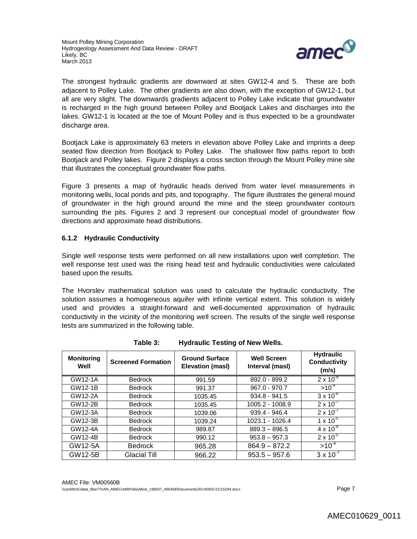

The strongest hydraulic gradients are downward at sites GW12-4 and 5. These are both adjacent to Polley Lake. The other gradients are also down, with the exception of GW12-1, but all are very slight. The downwards gradients adjacent to Polley Lake indicate that groundwater is recharged in the high ground between Polley and Bootjack Lakes and discharges into the lakes. GW12-1 is located at the toe of Mount Polley and is thus expected to be a groundwater discharge area.

Bootjack Lake is approximately 63 meters in elevation above Polley Lake and imprints a deep seated flow direction from Bootjack to Polley Lake. The shallower flow paths report to both Bootjack and Polley lakes. Figure 2 displays a cross section through the Mount Polley mine site that illustrates the conceptual groundwater flow paths.

Figure 3 presents a map of hydraulic heads derived from water level measurements in monitoring wells, local ponds and pits, and topography. The figure illustrates the general mound of groundwater in the high ground around the mine and the steep groundwater contours surrounding the pits. Figures 2 and 3 represent our conceptual model of groundwater flow directions and approximate head distributions.

# **6.1.2 Hydraulic Conductivity**

Single well response tests were performed on all new installations upon well completion. The well response test used was the rising head test and hydraulic conductivities were calculated based upon the results.

The Hvorslev mathematical solution was used to calculate the hydraulic conductivity. The solution assumes a homogeneous aquifer with infinite vertical extent. This solution is widely used and provides a straight-forward and well-documented approximation of hydraulic conductivity in the vicinity of the monitoring well screen. The results of the single well response tests are summarized in the following table.

| <b>Monitoring</b><br>Well | <b>Screened Formation</b> | <b>Ground Surface</b><br>Elevation (masl) | <b>Well Screen</b><br>Interval (masl) | <b>Hydraulic</b><br>Conductivity<br>(m/s) |
|---------------------------|---------------------------|-------------------------------------------|---------------------------------------|-------------------------------------------|
| GW12-1A                   | <b>Bedrock</b>            | 991.59                                    | 892.0 - 899.2                         | $2 \times 10^{-9}$                        |
| GW12-1B                   | <b>Bedrock</b>            | 991.37                                    | $967.0 - 970.7$                       | $>10^{-4}$                                |
| GW12-2A                   | <b>Bedrock</b>            | 1035.45                                   | $934.8 - 941.5$                       | $3 \times 10^{-8}$                        |
| GW12-2B                   | <b>Bedrock</b>            | 1035.45                                   | 1005.2 - 1008.9                       | $2 \times 10^{-7}$                        |
| GW12-3A                   | <b>Bedrock</b>            | 1039.06                                   | $939.4 - 946.4$                       | $2 \times 10^{-7}$                        |
| GW12-3B                   | <b>Bedrock</b>            | 1039.24                                   | 1023.1 - 1026.4                       | $1 \times 10^{-5}$                        |
| GW12-4A                   | <b>Bedrock</b>            | 989.87                                    | $889.3 - 896.5$                       | $4 \times 10^{-9}$                        |
| GW12-4B                   | <b>Bedrock</b>            | 990.12                                    | $953.8 - 957.3$                       | $2 \times 10^{-5}$                        |
| GW12-5A                   | <b>Bedrock</b>            | 965.28                                    | $864.9 - 872.2$                       | $>10^{-4}$                                |
| GW12-5B                   | Glacial Till              | 966.22                                    | $953.5 - 957.6$                       | $3 \times 10^{-7}$                        |

**Table 3: Hydraulic Testing of New Wells.**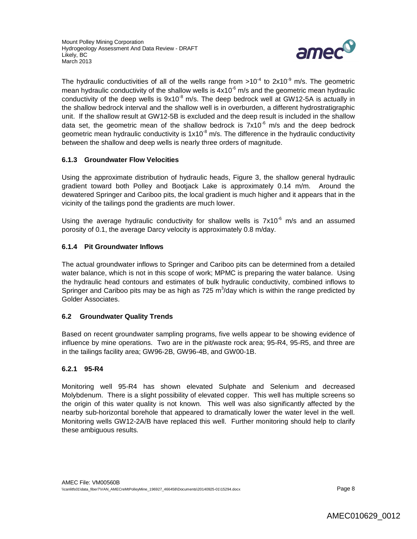

The hydraulic conductivities of all of the wells range from >10<sup>-4</sup> to 2x10<sup>-9</sup> m/s. The geometric mean hydraulic conductivity of the shallow wells is  $4x10<sup>-6</sup>$  m/s and the geometric mean hydraulic conductivity of the deep wells is  $9x10^{-8}$  m/s. The deep bedrock well at GW12-5A is actually in the shallow bedrock interval and the shallow well is in overburden, a different hydrostratigraphic unit. If the shallow result at GW12-5B is excluded and the deep result is included in the shallow data set, the geometric mean of the shallow bedrock is  $7x10^{-6}$  m/s and the deep bedrock geometric mean hydraulic conductivity is  $1 \times 10^{-8}$  m/s. The difference in the hydraulic conductivity between the shallow and deep wells is nearly three orders of magnitude.

# **6.1.3 Groundwater Flow Velocities**

Using the approximate distribution of hydraulic heads, Figure 3, the shallow general hydraulic gradient toward both Polley and Bootjack Lake is approximately 0.14 m/m. Around the dewatered Springer and Cariboo pits, the local gradient is much higher and it appears that in the vicinity of the tailings pond the gradients are much lower.

Using the average hydraulic conductivity for shallow wells is  $7x10^{-6}$  m/s and an assumed porosity of 0.1, the average Darcy velocity is approximately 0.8 m/day.

# **6.1.4 Pit Groundwater Inflows**

The actual groundwater inflows to Springer and Cariboo pits can be determined from a detailed water balance, which is not in this scope of work; MPMC is preparing the water balance. Using the hydraulic head contours and estimates of bulk hydraulic conductivity, combined inflows to Springer and Cariboo pits may be as high as 725  $m^3$ /day which is within the range predicted by Golder Associates.

# **6.2 Groundwater Quality Trends**

Based on recent groundwater sampling programs, five wells appear to be showing evidence of influence by mine operations. Two are in the pit/waste rock area; 95-R4, 95-R5, and three are in the tailings facility area; GW96-2B, GW96-4B, and GW00-1B.

# **6.2.1 95-R4**

Monitoring well 95-R4 has shown elevated Sulphate and Selenium and decreased Molybdenum. There is a slight possibility of elevated copper. This well has multiple screens so the origin of this water quality is not known. This well was also significantly affected by the nearby sub-horizontal borehole that appeared to dramatically lower the water level in the well. Monitoring wells GW12-2A/B have replaced this well. Further monitoring should help to clarify these ambiguous results.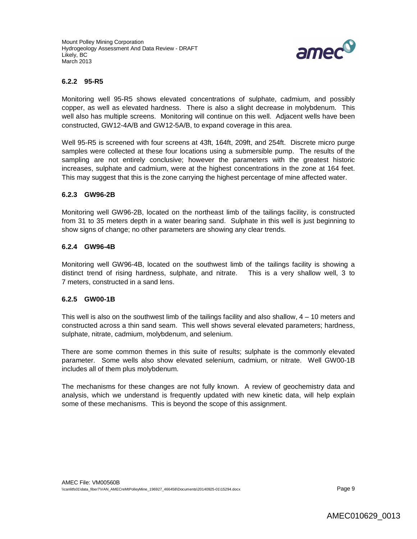

#### **6.2.2 95-R5**

Monitoring well 95-R5 shows elevated concentrations of sulphate, cadmium, and possibly copper, as well as elevated hardness. There is also a slight decrease in molybdenum. This well also has multiple screens. Monitoring will continue on this well. Adjacent wells have been constructed, GW12-4A/B and GW12-5A/B, to expand coverage in this area.

Well 95-R5 is screened with four screens at 43ft, 164ft, 209ft, and 254ft. Discrete micro purge samples were collected at these four locations using a submersible pump. The results of the sampling are not entirely conclusive; however the parameters with the greatest historic increases, sulphate and cadmium, were at the highest concentrations in the zone at 164 feet. This may suggest that this is the zone carrying the highest percentage of mine affected water.

#### **6.2.3 GW96-2B**

Monitoring well GW96-2B, located on the northeast limb of the tailings facility, is constructed from 31 to 35 meters depth in a water bearing sand. Sulphate in this well is just beginning to show signs of change; no other parameters are showing any clear trends.

### **6.2.4 GW96-4B**

Monitoring well GW96-4B, located on the southwest limb of the tailings facility is showing a distinct trend of rising hardness, sulphate, and nitrate. This is a very shallow well, 3 to 7 meters, constructed in a sand lens.

#### **6.2.5 GW00-1B**

This well is also on the southwest limb of the tailings facility and also shallow, 4 – 10 meters and constructed across a thin sand seam. This well shows several elevated parameters; hardness, sulphate, nitrate, cadmium, molybdenum, and selenium.

There are some common themes in this suite of results; sulphate is the commonly elevated parameter. Some wells also show elevated selenium, cadmium, or nitrate. Well GW00-1B includes all of them plus molybdenum.

The mechanisms for these changes are not fully known. A review of geochemistry data and analysis, which we understand is frequently updated with new kinetic data, will help explain some of these mechanisms. This is beyond the scope of this assignment.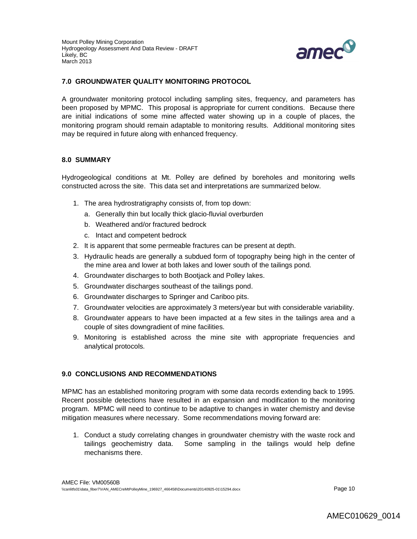

### **7.0 GROUNDWATER QUALITY MONITORING PROTOCOL**

A groundwater monitoring protocol including sampling sites, frequency, and parameters has been proposed by MPMC. This proposal is appropriate for current conditions. Because there are initial indications of some mine affected water showing up in a couple of places, the monitoring program should remain adaptable to monitoring results. Additional monitoring sites may be required in future along with enhanced frequency.

#### **8.0 SUMMARY**

Hydrogeological conditions at Mt. Polley are defined by boreholes and monitoring wells constructed across the site. This data set and interpretations are summarized below.

- 1. The area hydrostratigraphy consists of, from top down:
	- a. Generally thin but locally thick glacio-fluvial overburden
	- b. Weathered and/or fractured bedrock
	- c. Intact and competent bedrock
- 2. It is apparent that some permeable fractures can be present at depth.
- 3. Hydraulic heads are generally a subdued form of topography being high in the center of the mine area and lower at both lakes and lower south of the tailings pond.
- 4. Groundwater discharges to both Bootjack and Polley lakes.
- 5. Groundwater discharges southeast of the tailings pond.
- 6. Groundwater discharges to Springer and Cariboo pits.
- 7. Groundwater velocities are approximately 3 meters/year but with considerable variability.
- 8. Groundwater appears to have been impacted at a few sites in the tailings area and a couple of sites downgradient of mine facilities.
- 9. Monitoring is established across the mine site with appropriate frequencies and analytical protocols.

#### **9.0 CONCLUSIONS AND RECOMMENDATIONS**

MPMC has an established monitoring program with some data records extending back to 1995. Recent possible detections have resulted in an expansion and modification to the monitoring program. MPMC will need to continue to be adaptive to changes in water chemistry and devise mitigation measures where necessary. Some recommendations moving forward are:

1. Conduct a study correlating changes in groundwater chemistry with the waste rock and tailings geochemistry data. Some sampling in the tailings would help define mechanisms there.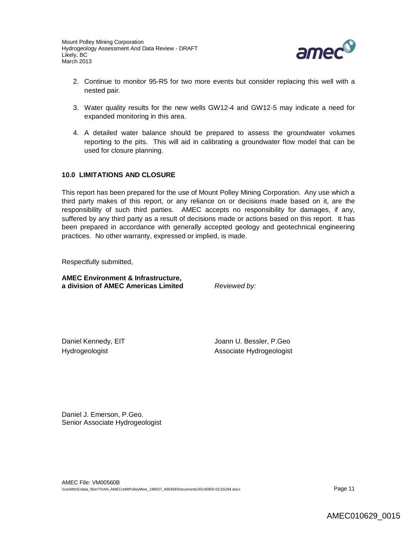

- 2. Continue to monitor 95-R5 for two more events but consider replacing this well with a nested pair.
- 3. Water quality results for the new wells GW12-4 and GW12-5 may indicate a need for expanded monitoring in this area.
- 4. A detailed water balance should be prepared to assess the groundwater volumes reporting to the pits. This will aid in calibrating a groundwater flow model that can be used for closure planning.

### **10.0 LIMITATIONS AND CLOSURE**

This report has been prepared for the use of Mount Polley Mining Corporation. Any use which a third party makes of this report, or any reliance on or decisions made based on it, are the responsibility of such third parties. AMEC accepts no responsibility for damages, if any, suffered by any third party as a result of decisions made or actions based on this report. It has been prepared in accordance with generally accepted geology and geotechnical engineering practices. No other warranty, expressed or implied, is made.

Respectfully submitted,

**AMEC Environment & Infrastructure, a division of AMEC Americas Limited** *Reviewed by:*

Daniel Kennedy, EIT Management Communication of the Sensitive Joann U. Bessler, P.Geo Hydrogeologist **Associate Hydrogeologist** 

Daniel J. Emerson, P.Geo. Senior Associate Hydrogeologist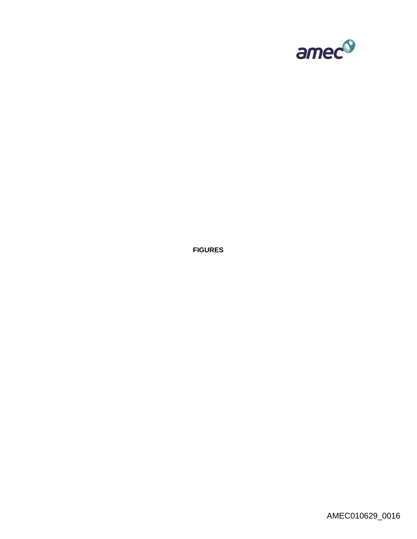

**FIGURES**